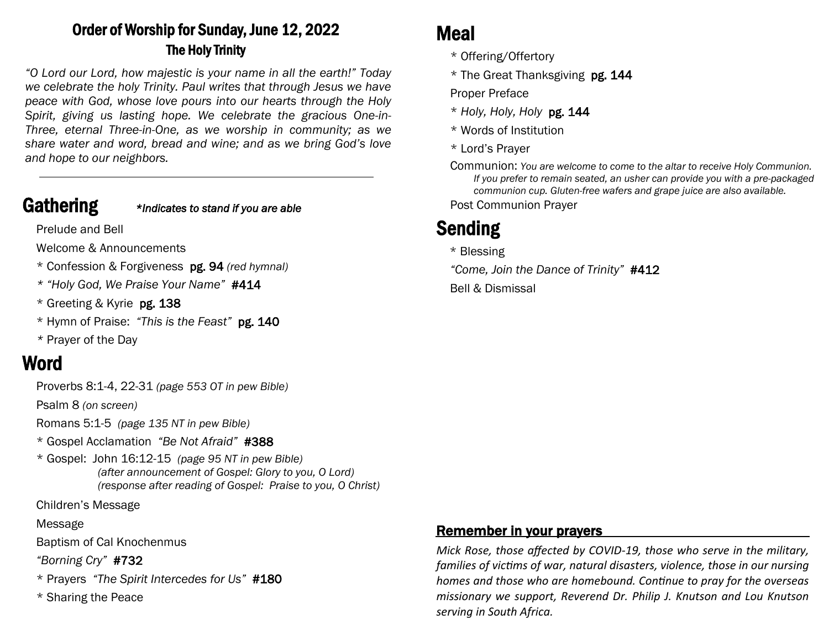## Order of Worship for Sunday, June 12, 2022 The Holy Trinity

*"O Lord our Lord, how majestic is your name in all the earth!" Today we celebrate the holy Trinity. Paul writes that through Jesus we have peace with God, whose love pours into our hearts through the Holy Spirit, giving us lasting hope. We celebrate the gracious One-in-Three, eternal Three-in-One, as we worship in community; as we share water and word, bread and wine; and as we bring God's love and hope to our neighbors.*

### Gathering *\*Indicates to stand if you are able*

Prelude and Bell

Welcome & Announcements

- \* Confession & Forgiveness pg. 94 *(red hymnal)*
- *\* "Holy God, We Praise Your Name"* #414
- \* Greeting & Kyrie pg. 138
- \* Hymn of Praise: *"This is the Feast"* pg. 140
- *\** Prayer of the Day

## Word

Proverbs 8:1-4, 22-31 *(page 553 OT in pew Bible)* 

Psalm 8 *(on screen)*

Romans 5:1-5 *(page 135 NT in pew Bible)*

- \* Gospel Acclamation *"Be Not Afraid"* #388
- \* Gospel: John 16:12-15 *(page 95 NT in pew Bible) (after announcement of Gospel: Glory to you, O Lord) (response after reading of Gospel: Praise to you, O Christ)*

Children's Message

Message

Baptism of Cal Knochenmus

*"Borning Cry"* #732

- \* Prayers *"The Spirit Intercedes for Us"* #180
- \* Sharing the Peace

## Meal

- \* Offering/Offertory
- \* The Great Thanksgiving pg. 144

Proper Preface

- \* *Holy, Holy, Holy* pg. 144
- \* Words of Institution
- \* Lord's Prayer

Communion: *You are welcome to come to the altar to receive Holy Communion. If you prefer to remain seated, an usher can provide you with a pre-packaged communion cup. Gluten-free wafers and grape juice are also available.* 

Post Communion Prayer

# Sending

\* Blessing

*"Come, Join the Dance of Trinity"* #412

Bell & Dismissal

## Remember in your prayers

*Mick Rose, those affected by COVID-19, those who serve in the military, families of victims of war, natural disasters, violence, those in our nursing homes and those who are homebound. Continue to pray for the overseas missionary we support, Reverend Dr. Philip J. Knutson and Lou Knutson serving in South Africa.*